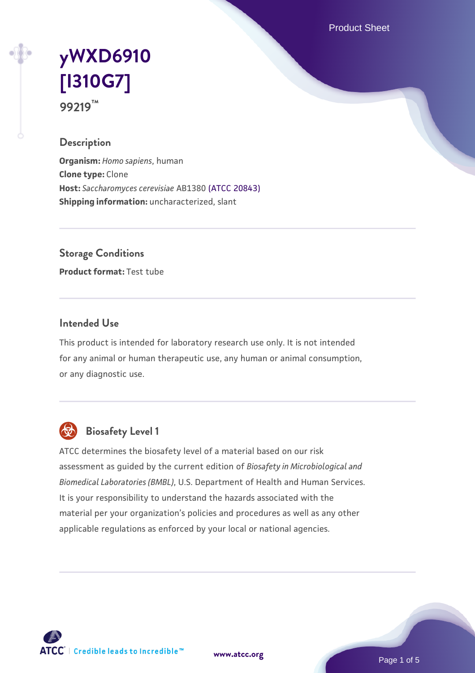Product Sheet

# **[yWXD6910](https://www.atcc.org/products/99219) [\[I310G7\]](https://www.atcc.org/products/99219) 99219™**

#### **Description**

**Organism:** *Homo sapiens*, human **Clone type:** Clone **Host:** *Saccharomyces cerevisiae* AB1380 [\(ATCC 20843\)](https://www.atcc.org/products/20843) **Shipping information:** uncharacterized, slant

**Storage Conditions**

**Product format:** Test tube

#### **Intended Use**

This product is intended for laboratory research use only. It is not intended for any animal or human therapeutic use, any human or animal consumption, or any diagnostic use.



# **Biosafety Level 1**

ATCC determines the biosafety level of a material based on our risk assessment as guided by the current edition of *Biosafety in Microbiological and Biomedical Laboratories (BMBL)*, U.S. Department of Health and Human Services. It is your responsibility to understand the hazards associated with the material per your organization's policies and procedures as well as any other applicable regulations as enforced by your local or national agencies.

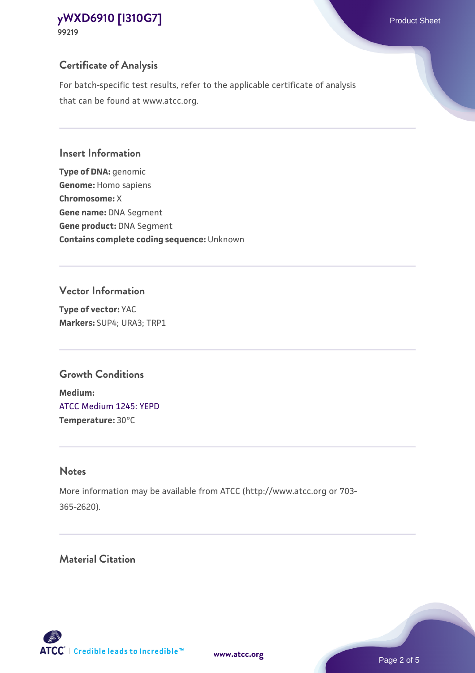# **Certificate of Analysis**

For batch-specific test results, refer to the applicable certificate of analysis that can be found at www.atcc.org.

### **Insert Information**

**Type of DNA:** genomic **Genome:** Homo sapiens **Chromosome:** X **Gene name:** DNA Segment **Gene product:** DNA Segment **Contains complete coding sequence:** Unknown

## **Vector Information**

**Type of vector:** YAC **Markers:** SUP4; URA3; TRP1

# **Growth Conditions**

**Medium:**  [ATCC Medium 1245: YEPD](https://www.atcc.org/-/media/product-assets/documents/microbial-media-formulations/1/2/4/5/atcc-medium-1245.pdf?rev=705ca55d1b6f490a808a965d5c072196) **Temperature:** 30°C

# **Notes**

More information may be available from ATCC (http://www.atcc.org or 703- 365-2620).

# **Material Citation**

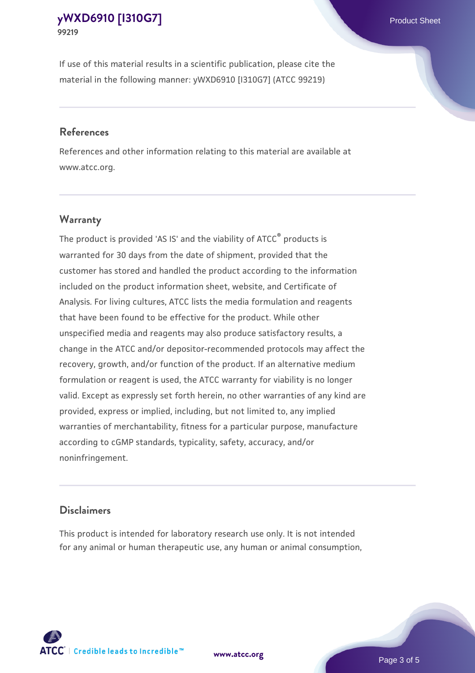If use of this material results in a scientific publication, please cite the material in the following manner: yWXD6910 [I310G7] (ATCC 99219)

#### **References**

References and other information relating to this material are available at www.atcc.org.

#### **Warranty**

The product is provided 'AS IS' and the viability of  $ATCC<sup>®</sup>$  products is warranted for 30 days from the date of shipment, provided that the customer has stored and handled the product according to the information included on the product information sheet, website, and Certificate of Analysis. For living cultures, ATCC lists the media formulation and reagents that have been found to be effective for the product. While other unspecified media and reagents may also produce satisfactory results, a change in the ATCC and/or depositor-recommended protocols may affect the recovery, growth, and/or function of the product. If an alternative medium formulation or reagent is used, the ATCC warranty for viability is no longer valid. Except as expressly set forth herein, no other warranties of any kind are provided, express or implied, including, but not limited to, any implied warranties of merchantability, fitness for a particular purpose, manufacture according to cGMP standards, typicality, safety, accuracy, and/or noninfringement.

#### **Disclaimers**

This product is intended for laboratory research use only. It is not intended for any animal or human therapeutic use, any human or animal consumption,

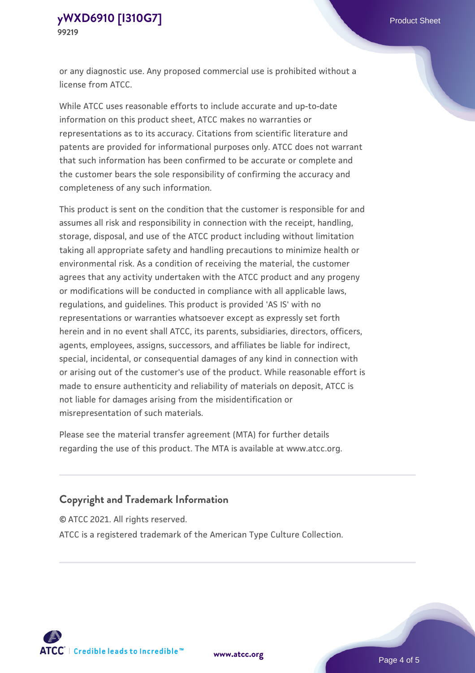or any diagnostic use. Any proposed commercial use is prohibited without a license from ATCC.

While ATCC uses reasonable efforts to include accurate and up-to-date information on this product sheet, ATCC makes no warranties or representations as to its accuracy. Citations from scientific literature and patents are provided for informational purposes only. ATCC does not warrant that such information has been confirmed to be accurate or complete and the customer bears the sole responsibility of confirming the accuracy and completeness of any such information.

This product is sent on the condition that the customer is responsible for and assumes all risk and responsibility in connection with the receipt, handling, storage, disposal, and use of the ATCC product including without limitation taking all appropriate safety and handling precautions to minimize health or environmental risk. As a condition of receiving the material, the customer agrees that any activity undertaken with the ATCC product and any progeny or modifications will be conducted in compliance with all applicable laws, regulations, and guidelines. This product is provided 'AS IS' with no representations or warranties whatsoever except as expressly set forth herein and in no event shall ATCC, its parents, subsidiaries, directors, officers, agents, employees, assigns, successors, and affiliates be liable for indirect, special, incidental, or consequential damages of any kind in connection with or arising out of the customer's use of the product. While reasonable effort is made to ensure authenticity and reliability of materials on deposit, ATCC is not liable for damages arising from the misidentification or misrepresentation of such materials.

Please see the material transfer agreement (MTA) for further details regarding the use of this product. The MTA is available at www.atcc.org.

#### **Copyright and Trademark Information**

© ATCC 2021. All rights reserved.

ATCC is a registered trademark of the American Type Culture Collection.



**[www.atcc.org](http://www.atcc.org)**